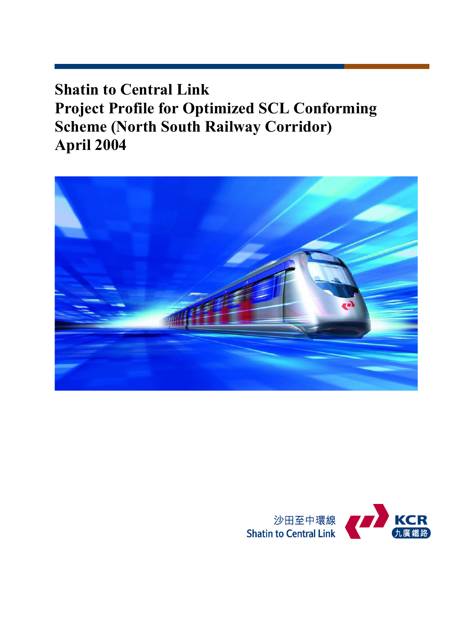**Shatin to Central Link Project Profile for Optimized SCL Conforming Scheme (North South Railway Corridor) April 2004** 



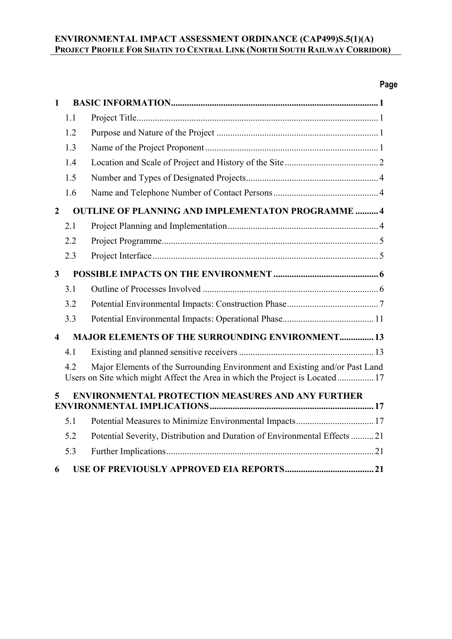# **Page**

| $\mathbf{1}$           |     |                                                                                                                                                             |
|------------------------|-----|-------------------------------------------------------------------------------------------------------------------------------------------------------------|
|                        | 1.1 |                                                                                                                                                             |
|                        | 1.2 |                                                                                                                                                             |
|                        | 1.3 |                                                                                                                                                             |
|                        | 1.4 |                                                                                                                                                             |
|                        | 1.5 |                                                                                                                                                             |
|                        | 1.6 |                                                                                                                                                             |
| $\overline{2}$         |     | <b>OUTLINE OF PLANNING AND IMPLEMENTATON PROGRAMME  4</b>                                                                                                   |
|                        | 2.1 |                                                                                                                                                             |
|                        | 2.2 |                                                                                                                                                             |
|                        | 2.3 |                                                                                                                                                             |
| $\mathbf{3}$           |     |                                                                                                                                                             |
|                        | 3.1 |                                                                                                                                                             |
|                        | 3.2 |                                                                                                                                                             |
|                        | 3.3 |                                                                                                                                                             |
| $\boldsymbol{\Lambda}$ |     | <b>MAJOR ELEMENTS OF THE SURROUNDING ENVIRONMENT 13</b>                                                                                                     |
|                        | 4.1 |                                                                                                                                                             |
|                        | 4.2 | Major Elements of the Surrounding Environment and Existing and/or Past Land<br>Users on Site which might Affect the Area in which the Project is Located 17 |
| 5                      |     | <b>ENVIRONMENTAL PROTECTION MEASURES AND ANY FURTHER</b>                                                                                                    |
|                        | 5.1 | Potential Measures to Minimize Environmental Impacts 17                                                                                                     |
|                        | 5.2 | Potential Severity, Distribution and Duration of Environmental Effects  21                                                                                  |
|                        | 5.3 |                                                                                                                                                             |
| 6                      |     |                                                                                                                                                             |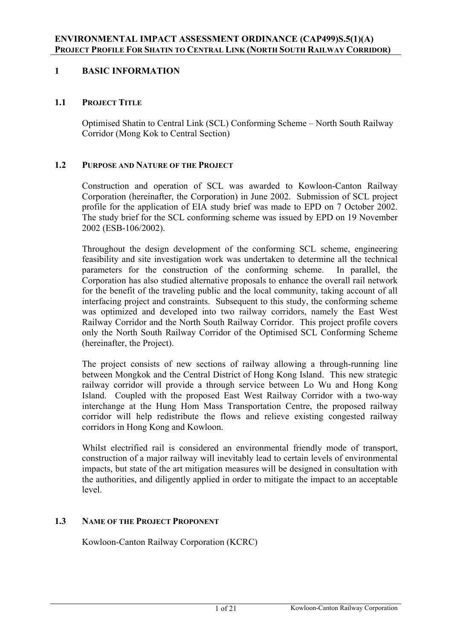# **1 BASIC INFORMATION**

### **1.1 PROJECT TITLE**

Optimised Shatin to Central Link (SCL) Conforming Scheme – North South Railway Corridor (Mong Kok to Central Section)

### **1.2 PURPOSE AND NATURE OF THE PROJECT**

Construction and operation of SCL was awarded to Kowloon-Canton Railway Corporation (hereinafter, the Corporation) in June 2002. Submission of SCL project profile for the application of EIA study brief was made to EPD on 7 October 2002. The study brief for the SCL conforming scheme was issued by EPD on 19 November 2002 (ESB-106/2002).

Throughout the design development of the conforming SCL scheme, engineering feasibility and site investigation work was undertaken to determine all the technical parameters for the construction of the conforming scheme. In parallel, the Corporation has also studied alternative proposals to enhance the overall rail network for the benefit of the traveling public and the local community, taking account of all interfacing project and constraints. Subsequent to this study, the conforming scheme was optimized and developed into two railway corridors, namely the East West Railway Corridor and the North South Railway Corridor. This project profile covers only the North South Railway Corridor of the Optimised SCL Conforming Scheme (hereinafter, the Project).

The project consists of new sections of railway allowing a through-running line between Mongkok and the Central District of Hong Kong Island. This new strategic railway corridor will provide a through service between Lo Wu and Hong Kong Island. Coupled with the proposed East West Railway Corridor with a two-way interchange at the Hung Hom Mass Transportation Centre, the proposed railway corridor will help redistribute the flows and relieve existing congested railway corridors in Hong Kong and Kowloon.

Whilst electrified rail is considered an environmental friendly mode of transport, construction of a major railway will inevitably lead to certain levels of environmental impacts, but state of the art mitigation measures will be designed in consultation with the authorities, and diligently applied in order to mitigate the impact to an acceptable level.

### **1.3 NAME OF THE PROJECT PROPONENT**

Kowloon-Canton Railway Corporation (KCRC)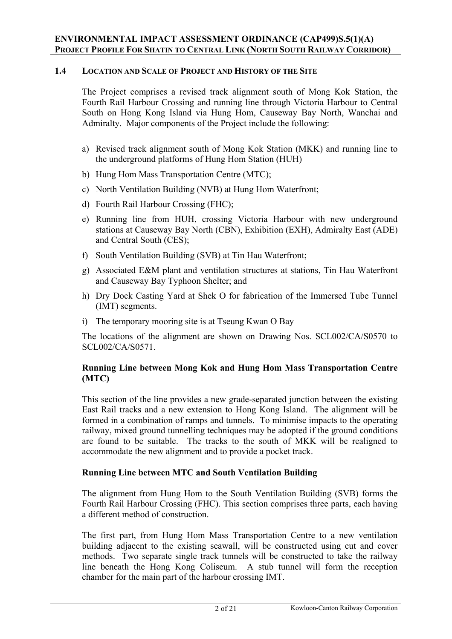### **1.4 LOCATION AND SCALE OF PROJECT AND HISTORY OF THE SITE**

The Project comprises a revised track alignment south of Mong Kok Station, the Fourth Rail Harbour Crossing and running line through Victoria Harbour to Central South on Hong Kong Island via Hung Hom, Causeway Bay North, Wanchai and Admiralty. Major components of the Project include the following:

- a) Revised track alignment south of Mong Kok Station (MKK) and running line to the underground platforms of Hung Hom Station (HUH)
- b) Hung Hom Mass Transportation Centre (MTC);
- c) North Ventilation Building (NVB) at Hung Hom Waterfront;
- d) Fourth Rail Harbour Crossing (FHC);
- e) Running line from HUH, crossing Victoria Harbour with new underground stations at Causeway Bay North (CBN), Exhibition (EXH), Admiralty East (ADE) and Central South (CES);
- f) South Ventilation Building (SVB) at Tin Hau Waterfront;
- g) Associated E&M plant and ventilation structures at stations, Tin Hau Waterfront and Causeway Bay Typhoon Shelter; and
- h) Dry Dock Casting Yard at Shek O for fabrication of the Immersed Tube Tunnel (IMT) segments.
- i) The temporary mooring site is at Tseung Kwan O Bay

The locations of the alignment are shown on Drawing Nos. SCL002/CA/S0570 to SCL002/CA/S0571.

# **Running Line between Mong Kok and Hung Hom Mass Transportation Centre (MTC)**

This section of the line provides a new grade-separated junction between the existing East Rail tracks and a new extension to Hong Kong Island. The alignment will be formed in a combination of ramps and tunnels. To minimise impacts to the operating railway, mixed ground tunnelling techniques may be adopted if the ground conditions are found to be suitable. The tracks to the south of MKK will be realigned to accommodate the new alignment and to provide a pocket track.

### **Running Line between MTC and South Ventilation Building**

 The alignment from Hung Hom to the South Ventilation Building (SVB) forms the Fourth Rail Harbour Crossing (FHC). This section comprises three parts, each having a different method of construction.

 The first part, from Hung Hom Mass Transportation Centre to a new ventilation building adjacent to the existing seawall, will be constructed using cut and cover methods. Two separate single track tunnels will be constructed to take the railway line beneath the Hong Kong Coliseum. A stub tunnel will form the reception chamber for the main part of the harbour crossing IMT.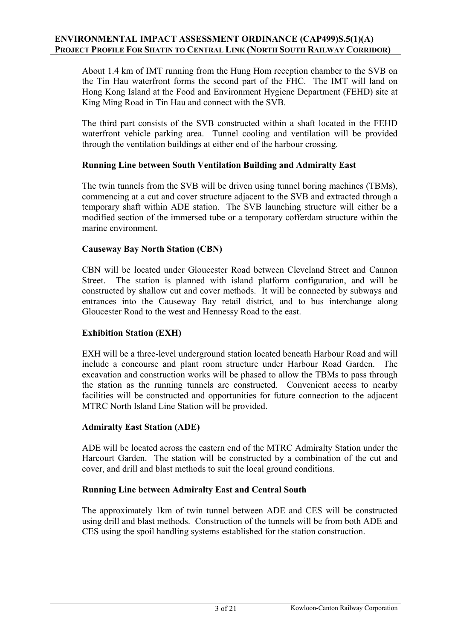About 1.4 km of IMT running from the Hung Hom reception chamber to the SVB on the Tin Hau waterfront forms the second part of the FHC. The IMT will land on Hong Kong Island at the Food and Environment Hygiene Department (FEHD) site at King Ming Road in Tin Hau and connect with the SVB.

 The third part consists of the SVB constructed within a shaft located in the FEHD waterfront vehicle parking area. Tunnel cooling and ventilation will be provided through the ventilation buildings at either end of the harbour crossing.

### **Running Line between South Ventilation Building and Admiralty East**

 The twin tunnels from the SVB will be driven using tunnel boring machines (TBMs), commencing at a cut and cover structure adjacent to the SVB and extracted through a temporary shaft within ADE station. The SVB launching structure will either be a modified section of the immersed tube or a temporary cofferdam structure within the marine environment.

### **Causeway Bay North Station (CBN)**

 CBN will be located under Gloucester Road between Cleveland Street and Cannon Street. The station is planned with island platform configuration, and will be constructed by shallow cut and cover methods. It will be connected by subways and entrances into the Causeway Bay retail district, and to bus interchange along Gloucester Road to the west and Hennessy Road to the east.

#### **Exhibition Station (EXH)**

EXH will be a three-level underground station located beneath Harbour Road and will include a concourse and plant room structure under Harbour Road Garden. The excavation and construction works will be phased to allow the TBMs to pass through the station as the running tunnels are constructed. Convenient access to nearby facilities will be constructed and opportunities for future connection to the adjacent MTRC North Island Line Station will be provided.

#### **Admiralty East Station (ADE)**

ADE will be located across the eastern end of the MTRC Admiralty Station under the Harcourt Garden. The station will be constructed by a combination of the cut and cover, and drill and blast methods to suit the local ground conditions.

#### **Running Line between Admiralty East and Central South**

The approximately 1km of twin tunnel between ADE and CES will be constructed using drill and blast methods. Construction of the tunnels will be from both ADE and CES using the spoil handling systems established for the station construction.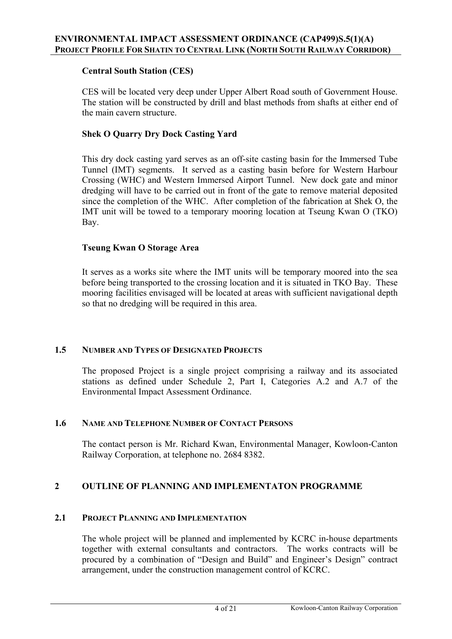## **Central South Station (CES)**

CES will be located very deep under Upper Albert Road south of Government House. The station will be constructed by drill and blast methods from shafts at either end of the main cavern structure.

### **Shek O Quarry Dry Dock Casting Yard**

This dry dock casting yard serves as an off-site casting basin for the Immersed Tube Tunnel (IMT) segments. It served as a casting basin before for Western Harbour Crossing (WHC) and Western Immersed Airport Tunnel. New dock gate and minor dredging will have to be carried out in front of the gate to remove material deposited since the completion of the WHC. After completion of the fabrication at Shek O, the IMT unit will be towed to a temporary mooring location at Tseung Kwan O (TKO) Bay.

### **Tseung Kwan O Storage Area**

It serves as a works site where the IMT units will be temporary moored into the sea before being transported to the crossing location and it is situated in TKO Bay. These mooring facilities envisaged will be located at areas with sufficient navigational depth so that no dredging will be required in this area.

### **1.5 NUMBER AND TYPES OF DESIGNATED PROJECTS**

The proposed Project is a single project comprising a railway and its associated stations as defined under Schedule 2, Part I, Categories A.2 and A.7 of the Environmental Impact Assessment Ordinance.

#### **1.6 NAME AND TELEPHONE NUMBER OF CONTACT PERSONS**

 The contact person is Mr. Richard Kwan, Environmental Manager, Kowloon-Canton Railway Corporation, at telephone no. 2684 8382.

### **2 OUTLINE OF PLANNING AND IMPLEMENTATON PROGRAMME**

### **2.1 PROJECT PLANNING AND IMPLEMENTATION**

The whole project will be planned and implemented by KCRC in-house departments together with external consultants and contractors. The works contracts will be procured by a combination of "Design and Build" and Engineer's Design" contract arrangement, under the construction management control of KCRC.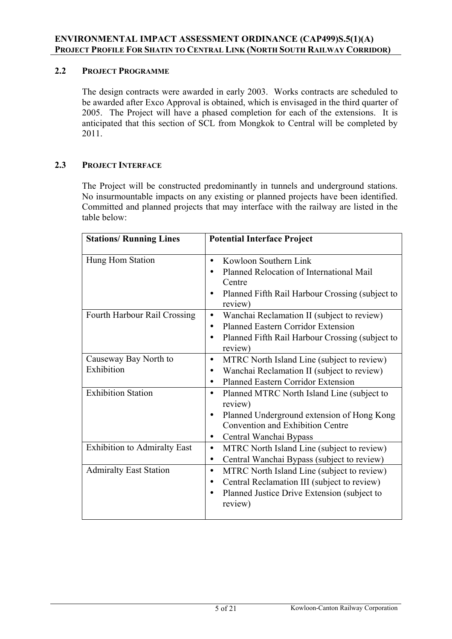### **2.2 PROJECT PROGRAMME**

The design contracts were awarded in early 2003. Works contracts are scheduled to be awarded after Exco Approval is obtained, which is envisaged in the third quarter of 2005. The Project will have a phased completion for each of the extensions. It is anticipated that this section of SCL from Mongkok to Central will be completed by 2011.

### **2.3 PROJECT INTERFACE**

The Project will be constructed predominantly in tunnels and underground stations. No insurmountable impacts on any existing or planned projects have been identified. Committed and planned projects that may interface with the railway are listed in the table below:

| <b>Stations/ Running Lines</b>      | <b>Potential Interface Project</b>                                                                                                                                                                              |  |
|-------------------------------------|-----------------------------------------------------------------------------------------------------------------------------------------------------------------------------------------------------------------|--|
| Hung Hom Station                    | Kowloon Southern Link<br>$\bullet$<br>Planned Relocation of International Mail<br>Centre<br>Planned Fifth Rail Harbour Crossing (subject to<br>review)                                                          |  |
| Fourth Harbour Rail Crossing        | Wanchai Reclamation II (subject to review)<br>$\bullet$<br><b>Planned Eastern Corridor Extension</b><br>$\bullet$<br>Planned Fifth Rail Harbour Crossing (subject to<br>$\bullet$<br>review)                    |  |
| Causeway Bay North to<br>Exhibition | MTRC North Island Line (subject to review)<br>$\bullet$<br>Wanchai Reclamation II (subject to review)<br><b>Planned Eastern Corridor Extension</b>                                                              |  |
| <b>Exhibition Station</b>           | Planned MTRC North Island Line (subject to<br>$\bullet$<br>review)<br>Planned Underground extension of Hong Kong<br>$\bullet$<br><b>Convention and Exhibition Centre</b><br>Central Wanchai Bypass<br>$\bullet$ |  |
| <b>Exhibition to Admiralty East</b> | MTRC North Island Line (subject to review)<br>$\bullet$<br>Central Wanchai Bypass (subject to review)<br>$\bullet$                                                                                              |  |
| <b>Admiralty East Station</b>       | MTRC North Island Line (subject to review)<br>$\bullet$<br>Central Reclamation III (subject to review)<br>$\bullet$<br>Planned Justice Drive Extension (subject to<br>review)                                   |  |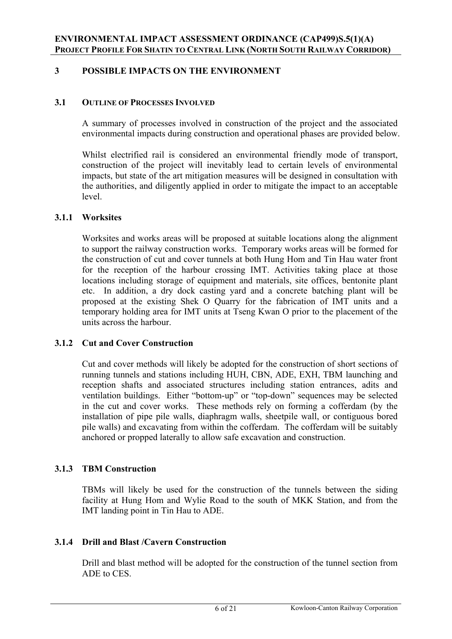# **3 POSSIBLE IMPACTS ON THE ENVIRONMENT**

#### **3.1 OUTLINE OF PROCESSES INVOLVED**

A summary of processes involved in construction of the project and the associated environmental impacts during construction and operational phases are provided below.

Whilst electrified rail is considered an environmental friendly mode of transport, construction of the project will inevitably lead to certain levels of environmental impacts, but state of the art mitigation measures will be designed in consultation with the authorities, and diligently applied in order to mitigate the impact to an acceptable level.

#### **3.1.1 Worksites**

Worksites and works areas will be proposed at suitable locations along the alignment to support the railway construction works. Temporary works areas will be formed for the construction of cut and cover tunnels at both Hung Hom and Tin Hau water front for the reception of the harbour crossing IMT. Activities taking place at those locations including storage of equipment and materials, site offices, bentonite plant etc. In addition, a dry dock casting yard and a concrete batching plant will be proposed at the existing Shek O Quarry for the fabrication of IMT units and a temporary holding area for IMT units at Tseng Kwan O prior to the placement of the units across the harbour.

### **3.1.2 Cut and Cover Construction**

 Cut and cover methods will likely be adopted for the construction of short sections of running tunnels and stations including HUH, CBN, ADE, EXH, TBM launching and reception shafts and associated structures including station entrances, adits and ventilation buildings. Either "bottom-up" or "top-down" sequences may be selected in the cut and cover works. These methods rely on forming a cofferdam (by the installation of pipe pile walls, diaphragm walls, sheetpile wall, or contiguous bored pile walls) and excavating from within the cofferdam. The cofferdam will be suitably anchored or propped laterally to allow safe excavation and construction.

### **3.1.3 TBM Construction**

TBMs will likely be used for the construction of the tunnels between the siding facility at Hung Hom and Wylie Road to the south of MKK Station, and from the IMT landing point in Tin Hau to ADE.

### **3.1.4 Drill and Blast /Cavern Construction**

Drill and blast method will be adopted for the construction of the tunnel section from ADE to CES.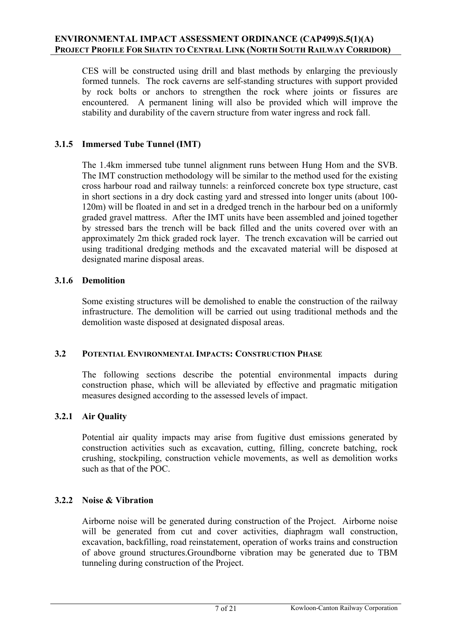CES will be constructed using drill and blast methods by enlarging the previously formed tunnels. The rock caverns are self-standing structures with support provided by rock bolts or anchors to strengthen the rock where joints or fissures are encountered. A permanent lining will also be provided which will improve the stability and durability of the cavern structure from water ingress and rock fall.

## **3.1.5 Immersed Tube Tunnel (IMT)**

The 1.4km immersed tube tunnel alignment runs between Hung Hom and the SVB. The IMT construction methodology will be similar to the method used for the existing cross harbour road and railway tunnels: a reinforced concrete box type structure, cast in short sections in a dry dock casting yard and stressed into longer units (about 100- 120m) will be floated in and set in a dredged trench in the harbour bed on a uniformly graded gravel mattress. After the IMT units have been assembled and joined together by stressed bars the trench will be back filled and the units covered over with an approximately 2m thick graded rock layer. The trench excavation will be carried out using traditional dredging methods and the excavated material will be disposed at designated marine disposal areas.

# **3.1.6 Demolition**

Some existing structures will be demolished to enable the construction of the railway infrastructure. The demolition will be carried out using traditional methods and the demolition waste disposed at designated disposal areas.

### **3.2 POTENTIAL ENVIRONMENTAL IMPACTS: CONSTRUCTION PHASE**

The following sections describe the potential environmental impacts during construction phase, which will be alleviated by effective and pragmatic mitigation measures designed according to the assessed levels of impact.

### **3.2.1 Air Quality**

Potential air quality impacts may arise from fugitive dust emissions generated by construction activities such as excavation, cutting, filling, concrete batching, rock crushing, stockpiling, construction vehicle movements, as well as demolition works such as that of the POC.

### **3.2.2 Noise & Vibration**

Airborne noise will be generated during construction of the Project. Airborne noise will be generated from cut and cover activities, diaphragm wall construction, excavation, backfilling, road reinstatement, operation of works trains and construction of above ground structures.Groundborne vibration may be generated due to TBM tunneling during construction of the Project.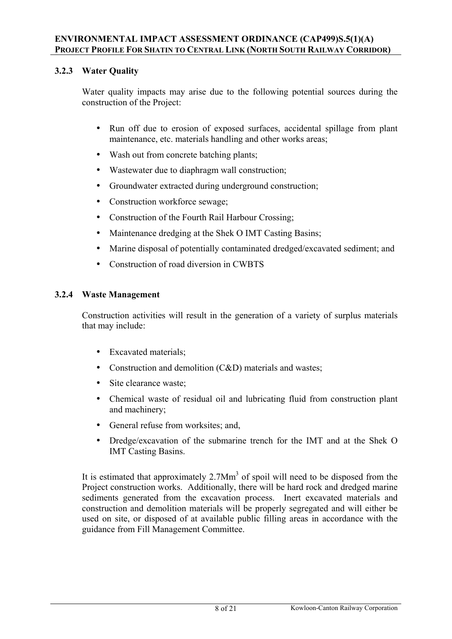# **3.2.3 Water Quality**

Water quality impacts may arise due to the following potential sources during the construction of the Project:

- Run off due to erosion of exposed surfaces, accidental spillage from plant maintenance, etc. materials handling and other works areas;
- Wash out from concrete batching plants;
- Wastewater due to diaphragm wall construction;
- Groundwater extracted during underground construction;
- Construction workforce sewage;
- Construction of the Fourth Rail Harbour Crossing;
- Maintenance dredging at the Shek O IMT Casting Basins;
- Marine disposal of potentially contaminated dredged/excavated sediment; and
- Construction of road diversion in CWBTS

# **3.2.4 Waste Management**

Construction activities will result in the generation of a variety of surplus materials that may include:

- Excavated materials;
- Construction and demolition (C&D) materials and wastes;
- Site clearance waste;
- Chemical waste of residual oil and lubricating fluid from construction plant and machinery;
- General refuse from worksites; and,
- Dredge/excavation of the submarine trench for the IMT and at the Shek O IMT Casting Basins.

It is estimated that approximately  $2.7$ Mm<sup>3</sup> of spoil will need to be disposed from the Project construction works. Additionally, there will be hard rock and dredged marine sediments generated from the excavation process. Inert excavated materials and construction and demolition materials will be properly segregated and will either be used on site, or disposed of at available public filling areas in accordance with the guidance from Fill Management Committee.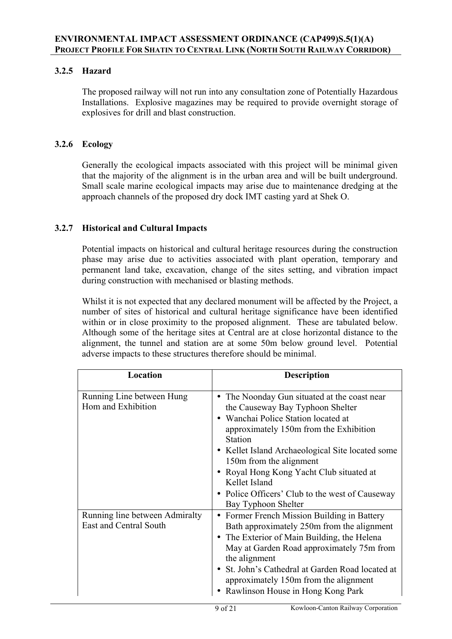# **3.2.5 Hazard**

The proposed railway will not run into any consultation zone of Potentially Hazardous Installations. Explosive magazines may be required to provide overnight storage of explosives for drill and blast construction.

## **3.2.6 Ecology**

 Generally the ecological impacts associated with this project will be minimal given that the majority of the alignment is in the urban area and will be built underground. Small scale marine ecological impacts may arise due to maintenance dredging at the approach channels of the proposed dry dock IMT casting yard at Shek O.

# **3.2.7 Historical and Cultural Impacts**

Potential impacts on historical and cultural heritage resources during the construction phase may arise due to activities associated with plant operation, temporary and permanent land take, excavation, change of the sites setting, and vibration impact during construction with mechanised or blasting methods.

Whilst it is not expected that any declared monument will be affected by the Project, a number of sites of historical and cultural heritage significance have been identified within or in close proximity to the proposed alignment. These are tabulated below. Although some of the heritage sites at Central are at close horizontal distance to the alignment, the tunnel and station are at some 50m below ground level. Potential adverse impacts to these structures therefore should be minimal.

| Location                                                 | <b>Description</b>                                                                                                                                                                                                                                                                                                                                                                             |  |
|----------------------------------------------------------|------------------------------------------------------------------------------------------------------------------------------------------------------------------------------------------------------------------------------------------------------------------------------------------------------------------------------------------------------------------------------------------------|--|
| Running Line between Hung<br>Hom and Exhibition          | The Noonday Gun situated at the coast near<br>the Causeway Bay Typhoon Shelter<br>Wanchai Police Station located at<br>approximately 150m from the Exhibition<br>Station<br>• Kellet Island Archaeological Site located some<br>150m from the alignment<br>• Royal Hong Kong Yacht Club situated at<br>Kellet Island<br>• Police Officers' Club to the west of Causeway<br>Bay Typhoon Shelter |  |
| Running line between Admiralty<br>East and Central South | Former French Mission Building in Battery<br>$\bullet$<br>Bath approximately 250m from the alignment<br>• The Exterior of Main Building, the Helena<br>May at Garden Road approximately 75m from<br>the alignment<br>St. John's Cathedral at Garden Road located at<br>approximately 150m from the alignment<br>Rawlinson House in Hong Kong Park                                              |  |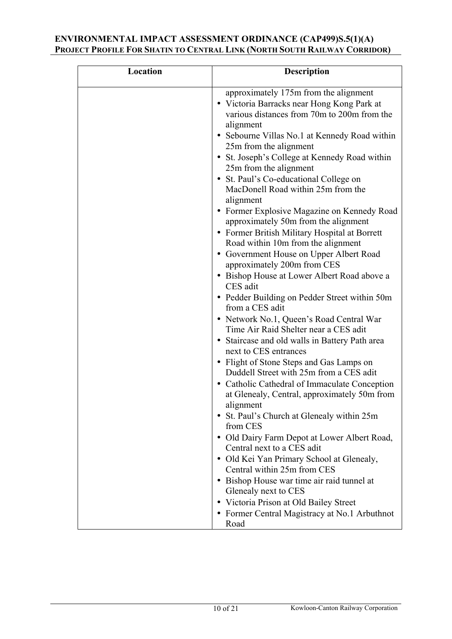| Location | <b>Description</b>                                                                                                                                                                                                                                                                                                                                                                                                                                                                                                                                                                                                                                                                                                                                                                                                                                                                                                                                                                                                                                                                                                                                                                                                                                                                                     |
|----------|--------------------------------------------------------------------------------------------------------------------------------------------------------------------------------------------------------------------------------------------------------------------------------------------------------------------------------------------------------------------------------------------------------------------------------------------------------------------------------------------------------------------------------------------------------------------------------------------------------------------------------------------------------------------------------------------------------------------------------------------------------------------------------------------------------------------------------------------------------------------------------------------------------------------------------------------------------------------------------------------------------------------------------------------------------------------------------------------------------------------------------------------------------------------------------------------------------------------------------------------------------------------------------------------------------|
|          | approximately 175m from the alignment<br>• Victoria Barracks near Hong Kong Park at<br>various distances from 70m to 200m from the<br>alignment<br>• Sebourne Villas No.1 at Kennedy Road within<br>25m from the alignment<br>• St. Joseph's College at Kennedy Road within<br>25m from the alignment<br>• St. Paul's Co-educational College on<br>MacDonell Road within 25m from the<br>alignment<br>• Former Explosive Magazine on Kennedy Road<br>approximately 50m from the alignment<br>• Former British Military Hospital at Borrett<br>Road within 10m from the alignment<br>• Government House on Upper Albert Road<br>approximately 200m from CES<br>• Bishop House at Lower Albert Road above a<br>CES adit<br>• Pedder Building on Pedder Street within 50m<br>from a CES adit<br>• Network No.1, Queen's Road Central War<br>Time Air Raid Shelter near a CES adit<br>• Staircase and old walls in Battery Path area<br>next to CES entrances<br>• Flight of Stone Steps and Gas Lamps on<br>Duddell Street with 25m from a CES adit<br>• Catholic Cathedral of Immaculate Conception<br>at Glenealy, Central, approximately 50m from<br>alignment<br>• St. Paul's Church at Glenealy within 25m<br>from CES<br>• Old Dairy Farm Depot at Lower Albert Road,<br>Central next to a CES adit |
|          | • Old Kei Yan Primary School at Glenealy,                                                                                                                                                                                                                                                                                                                                                                                                                                                                                                                                                                                                                                                                                                                                                                                                                                                                                                                                                                                                                                                                                                                                                                                                                                                              |
|          | Central within 25m from CES<br>• Bishop House war time air raid tunnel at<br>Glenealy next to CES                                                                                                                                                                                                                                                                                                                                                                                                                                                                                                                                                                                                                                                                                                                                                                                                                                                                                                                                                                                                                                                                                                                                                                                                      |
|          | • Victoria Prison at Old Bailey Street<br>• Former Central Magistracy at No.1 Arbuthnot<br>Road                                                                                                                                                                                                                                                                                                                                                                                                                                                                                                                                                                                                                                                                                                                                                                                                                                                                                                                                                                                                                                                                                                                                                                                                        |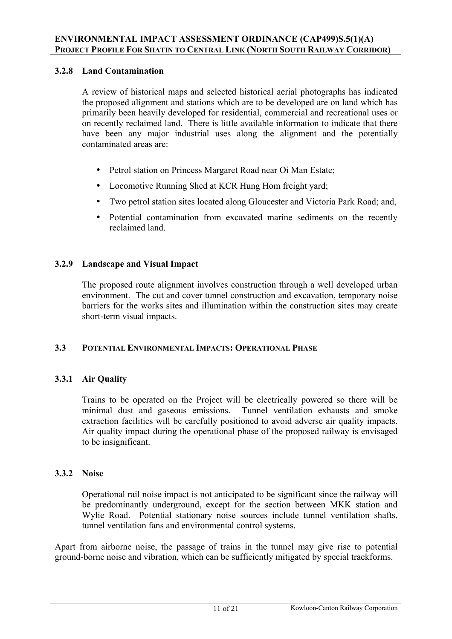# **3.2.8 Land Contamination**

A review of historical maps and selected historical aerial photographs has indicated the proposed alignment and stations which are to be developed are on land which has primarily been heavily developed for residential, commercial and recreational uses or on recently reclaimed land. There is little available information to indicate that there have been any major industrial uses along the alignment and the potentially contaminated areas are:

- Petrol station on Princess Margaret Road near Oi Man Estate;
- Locomotive Running Shed at KCR Hung Hom freight yard;
- Two petrol station sites located along Gloucester and Victoria Park Road; and,
- Potential contamination from excavated marine sediments on the recently reclaimed land.

# **3.2.9 Landscape and Visual Impact**

The proposed route alignment involves construction through a well developed urban environment. The cut and cover tunnel construction and excavation, temporary noise barriers for the works sites and illumination within the construction sites may create short-term visual impacts.

### **3.3 POTENTIAL ENVIRONMENTAL IMPACTS: OPERATIONAL PHASE**

### **3.3.1 Air Quality**

Trains to be operated on the Project will be electrically powered so there will be minimal dust and gaseous emissions. Tunnel ventilation exhausts and smoke extraction facilities will be carefully positioned to avoid adverse air quality impacts. Air quality impact during the operational phase of the proposed railway is envisaged to be insignificant.

# **3.3.2 Noise**

Operational rail noise impact is not anticipated to be significant since the railway will be predominantly underground, except for the section between MKK station and Wylie Road. Potential stationary noise sources include tunnel ventilation shafts, tunnel ventilation fans and environmental control systems.

Apart from airborne noise, the passage of trains in the tunnel may give rise to potential ground-borne noise and vibration, which can be sufficiently mitigated by special trackforms.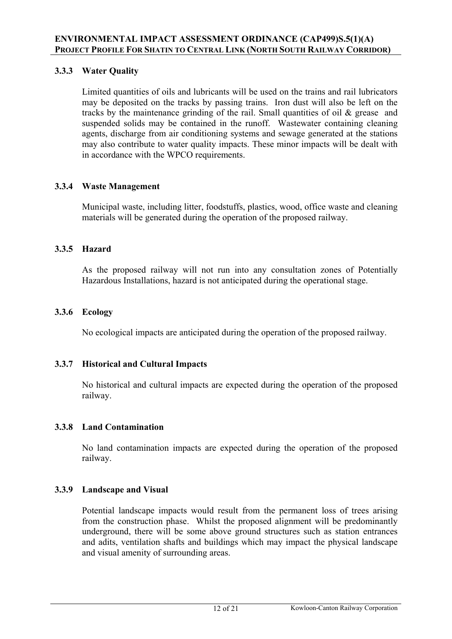# **3.3.3 Water Quality**

Limited quantities of oils and lubricants will be used on the trains and rail lubricators may be deposited on the tracks by passing trains. Iron dust will also be left on the tracks by the maintenance grinding of the rail. Small quantities of oil & grease and suspended solids may be contained in the runoff. Wastewater containing cleaning agents, discharge from air conditioning systems and sewage generated at the stations may also contribute to water quality impacts. These minor impacts will be dealt with in accordance with the WPCO requirements.

### **3.3.4 Waste Management**

Municipal waste, including litter, foodstuffs, plastics, wood, office waste and cleaning materials will be generated during the operation of the proposed railway.

# **3.3.5 Hazard**

As the proposed railway will not run into any consultation zones of Potentially Hazardous Installations, hazard is not anticipated during the operational stage.

# **3.3.6 Ecology**

No ecological impacts are anticipated during the operation of the proposed railway.

### **3.3.7 Historical and Cultural Impacts**

No historical and cultural impacts are expected during the operation of the proposed railway.

### **3.3.8 Land Contamination**

No land contamination impacts are expected during the operation of the proposed railway.

### **3.3.9 Landscape and Visual**

Potential landscape impacts would result from the permanent loss of trees arising from the construction phase. Whilst the proposed alignment will be predominantly underground, there will be some above ground structures such as station entrances and adits, ventilation shafts and buildings which may impact the physical landscape and visual amenity of surrounding areas.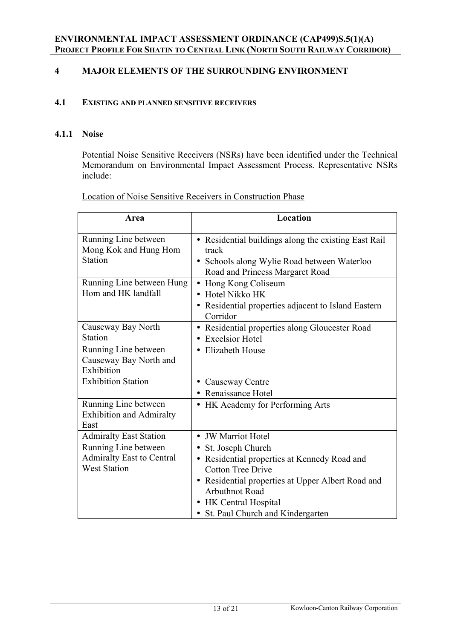# **4 MAJOR ELEMENTS OF THE SURROUNDING ENVIRONMENT**

#### **4.1 EXISTING AND PLANNED SENSITIVE RECEIVERS**

#### **4.1.1 Noise**

Potential Noise Sensitive Receivers (NSRs) have been identified under the Technical Memorandum on Environmental Impact Assessment Process. Representative NSRs include:

| Location of Noise Sensitive Receivers in Construction Phase |
|-------------------------------------------------------------|
|-------------------------------------------------------------|

| Area                                                                            | Location                                                                                                                                                                                                                                                |
|---------------------------------------------------------------------------------|---------------------------------------------------------------------------------------------------------------------------------------------------------------------------------------------------------------------------------------------------------|
| Running Line between<br>Mong Kok and Hung Hom<br>Station                        | • Residential buildings along the existing East Rail<br>track<br>• Schools along Wylie Road between Waterloo<br>Road and Princess Margaret Road                                                                                                         |
| Running Line between Hung<br>Hom and HK landfall                                | Hong Kong Coliseum<br>Hotel Nikko HK<br>• Residential properties adjacent to Island Eastern<br>Corridor                                                                                                                                                 |
| Causeway Bay North<br>Station                                                   | • Residential properties along Gloucester Road<br><b>Excelsior Hotel</b>                                                                                                                                                                                |
| Running Line between<br>Causeway Bay North and<br>Exhibition                    | • Elizabeth House                                                                                                                                                                                                                                       |
| <b>Exhibition Station</b>                                                       | Causeway Centre<br>$\bullet$<br>• Renaissance Hotel                                                                                                                                                                                                     |
| Running Line between<br><b>Exhibition and Admiralty</b><br>East                 | HK Academy for Performing Arts                                                                                                                                                                                                                          |
| <b>Admiralty East Station</b>                                                   | • JW Marriot Hotel                                                                                                                                                                                                                                      |
| Running Line between<br><b>Admiralty East to Central</b><br><b>West Station</b> | St. Joseph Church<br>$\bullet$<br>• Residential properties at Kennedy Road and<br><b>Cotton Tree Drive</b><br>• Residential properties at Upper Albert Road and<br><b>Arbuthnot Road</b><br>• HK Central Hospital<br>• St. Paul Church and Kindergarten |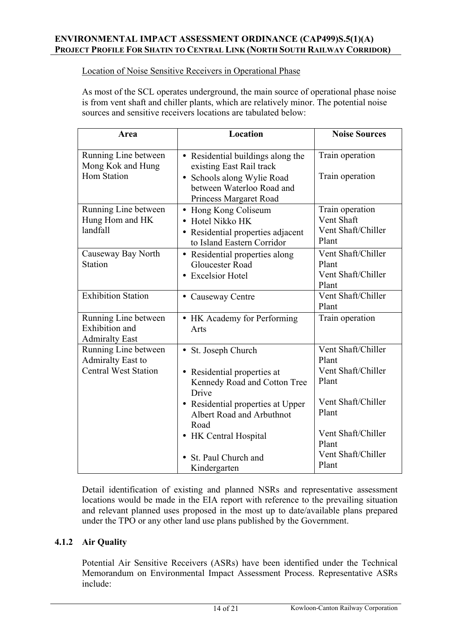Location of Noise Sensitive Receivers in Operational Phase

As most of the SCL operates underground, the main source of operational phase noise is from vent shaft and chiller plants, which are relatively minor. The potential noise sources and sensitive receivers locations are tabulated below:

| Area                                                                            | Location                                                                                                                                           | <b>Noise Sources</b>                                         |
|---------------------------------------------------------------------------------|----------------------------------------------------------------------------------------------------------------------------------------------------|--------------------------------------------------------------|
| Running Line between<br>Mong Kok and Hung<br><b>Hom Station</b>                 | • Residential buildings along the<br>existing East Rail track<br>• Schools along Wylie Road<br>between Waterloo Road and<br>Princess Margaret Road | Train operation<br>Train operation                           |
| Running Line between<br>Hung Hom and HK<br>landfall                             | Hong Kong Coliseum<br>$\bullet$<br>• Hotel Nikko HK<br>• Residential properties adjacent<br>to Island Eastern Corridor                             | Train operation<br>Vent Shaft<br>Vent Shaft/Chiller<br>Plant |
| Causeway Bay North<br><b>Station</b>                                            | Residential properties along<br>$\bullet$<br><b>Gloucester Road</b><br><b>Excelsior Hotel</b>                                                      | Vent Shaft/Chiller<br>Plant<br>Vent Shaft/Chiller<br>Plant   |
| <b>Exhibition Station</b>                                                       | • Causeway Centre                                                                                                                                  | Vent Shaft/Chiller<br>Plant                                  |
| Running Line between<br>Exhibition and<br><b>Admiralty East</b>                 | • HK Academy for Performing<br>Arts                                                                                                                | Train operation                                              |
| Running Line between<br><b>Admiralty East to</b><br><b>Central West Station</b> | • St. Joseph Church                                                                                                                                | Vent Shaft/Chiller<br>Plant<br>Vent Shaft/Chiller            |
|                                                                                 | Residential properties at<br>$\bullet$<br>Kennedy Road and Cotton Tree<br>Drive                                                                    | Plant                                                        |
|                                                                                 | • Residential properties at Upper<br>Albert Road and Arbuthnot<br>Road                                                                             | Vent Shaft/Chiller<br>Plant                                  |
|                                                                                 | • HK Central Hospital                                                                                                                              | Vent Shaft/Chiller<br>Plant                                  |
|                                                                                 | St. Paul Church and<br>Kindergarten                                                                                                                | Vent Shaft/Chiller<br>Plant                                  |

Detail identification of existing and planned NSRs and representative assessment locations would be made in the EIA report with reference to the prevailing situation and relevant planned uses proposed in the most up to date/available plans prepared under the TPO or any other land use plans published by the Government.

### **4.1.2 Air Quality**

Potential Air Sensitive Receivers (ASRs) have been identified under the Technical Memorandum on Environmental Impact Assessment Process. Representative ASRs include: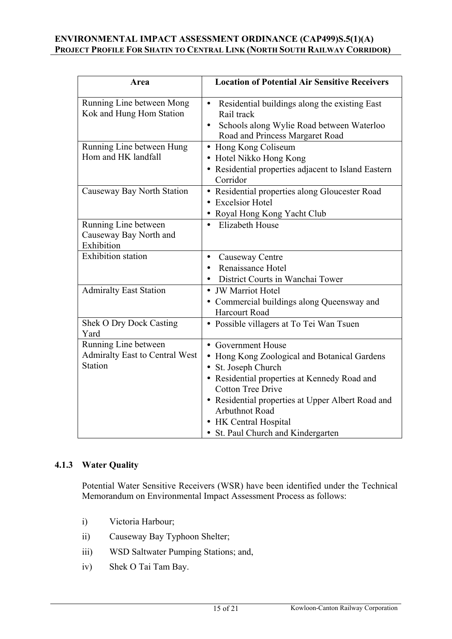| Area                                                                            | <b>Location of Potential Air Sensitive Receivers</b>                                                                                                                                                                                                                                                        |
|---------------------------------------------------------------------------------|-------------------------------------------------------------------------------------------------------------------------------------------------------------------------------------------------------------------------------------------------------------------------------------------------------------|
| Running Line between Mong<br>Kok and Hung Hom Station                           | Residential buildings along the existing East<br>$\bullet$<br>Rail track<br>Schools along Wylie Road between Waterloo<br>$\bullet$<br>Road and Princess Margaret Road                                                                                                                                       |
| Running Line between Hung<br>Hom and HK landfall                                | Hong Kong Coliseum<br>• Hotel Nikko Hong Kong<br>• Residential properties adjacent to Island Eastern<br>Corridor                                                                                                                                                                                            |
| Causeway Bay North Station                                                      | • Residential properties along Gloucester Road<br>• Excelsior Hotel<br>Royal Hong Kong Yacht Club                                                                                                                                                                                                           |
| Running Line between<br>Causeway Bay North and<br>Exhibition                    | <b>Elizabeth House</b>                                                                                                                                                                                                                                                                                      |
| <b>Exhibition</b> station                                                       | Causeway Centre<br>$\bullet$<br>Renaissance Hotel<br>District Courts in Wanchai Tower                                                                                                                                                                                                                       |
| <b>Admiralty East Station</b>                                                   | • JW Marriot Hotel<br>• Commercial buildings along Queensway and<br><b>Harcourt Road</b>                                                                                                                                                                                                                    |
| <b>Shek O Dry Dock Casting</b><br>Yard                                          | • Possible villagers at To Tei Wan Tsuen                                                                                                                                                                                                                                                                    |
| Running Line between<br><b>Admiralty East to Central West</b><br><b>Station</b> | • Government House<br>• Hong Kong Zoological and Botanical Gardens<br>• St. Joseph Church<br>• Residential properties at Kennedy Road and<br><b>Cotton Tree Drive</b><br>• Residential properties at Upper Albert Road and<br>Arbuthnot Road<br>• HK Central Hospital<br>• St. Paul Church and Kindergarten |

### **4.1.3 Water Quality**

Potential Water Sensitive Receivers (WSR) have been identified under the Technical Memorandum on Environmental Impact Assessment Process as follows:

- i) Victoria Harbour;
- ii) Causeway Bay Typhoon Shelter;
- iii) WSD Saltwater Pumping Stations; and,
- iv) Shek O Tai Tam Bay.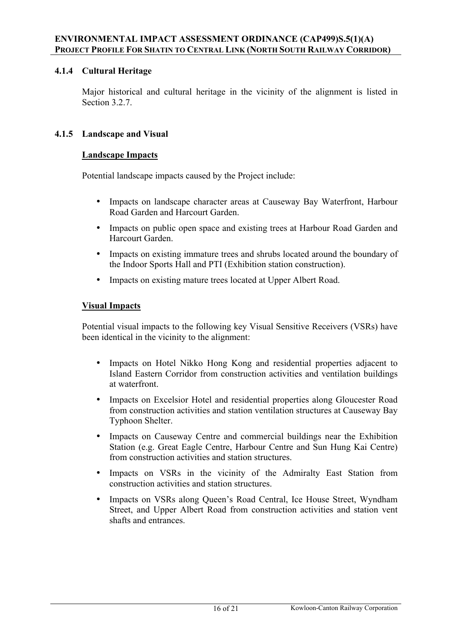# **4.1.4 Cultural Heritage**

Major historical and cultural heritage in the vicinity of the alignment is listed in Section 3.2.7.

## **4.1.5 Landscape and Visual**

### **Landscape Impacts**

Potential landscape impacts caused by the Project include:

- Impacts on landscape character areas at Causeway Bay Waterfront, Harbour Road Garden and Harcourt Garden.
- Impacts on public open space and existing trees at Harbour Road Garden and Harcourt Garden.
- Impacts on existing immature trees and shrubs located around the boundary of the Indoor Sports Hall and PTI (Exhibition station construction).
- Impacts on existing mature trees located at Upper Albert Road.

#### **Visual Impacts**

Potential visual impacts to the following key Visual Sensitive Receivers (VSRs) have been identical in the vicinity to the alignment:

- Impacts on Hotel Nikko Hong Kong and residential properties adjacent to Island Eastern Corridor from construction activities and ventilation buildings at waterfront.
- Impacts on Excelsior Hotel and residential properties along Gloucester Road from construction activities and station ventilation structures at Causeway Bay Typhoon Shelter.
- Impacts on Causeway Centre and commercial buildings near the Exhibition Station (e.g. Great Eagle Centre, Harbour Centre and Sun Hung Kai Centre) from construction activities and station structures.
- Impacts on VSRs in the vicinity of the Admiralty East Station from construction activities and station structures.
- Impacts on VSRs along Queen's Road Central, Ice House Street, Wyndham Street, and Upper Albert Road from construction activities and station vent shafts and entrances.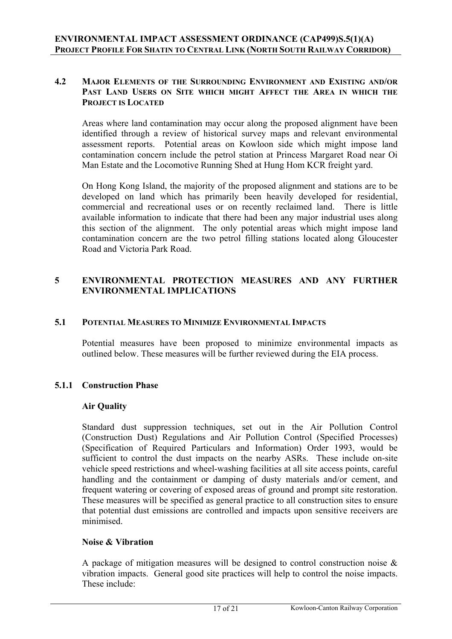### **4.2 MAJOR ELEMENTS OF THE SURROUNDING ENVIRONMENT AND EXISTING AND/OR PAST LAND USERS ON SITE WHICH MIGHT AFFECT THE AREA IN WHICH THE PROJECT IS LOCATED**

Areas where land contamination may occur along the proposed alignment have been identified through a review of historical survey maps and relevant environmental assessment reports. Potential areas on Kowloon side which might impose land contamination concern include the petrol station at Princess Margaret Road near Oi Man Estate and the Locomotive Running Shed at Hung Hom KCR freight yard.

 On Hong Kong Island, the majority of the proposed alignment and stations are to be developed on land which has primarily been heavily developed for residential, commercial and recreational uses or on recently reclaimed land. There is little available information to indicate that there had been any major industrial uses along this section of the alignment. The only potential areas which might impose land contamination concern are the two petrol filling stations located along Gloucester Road and Victoria Park Road.

## **5 ENVIRONMENTAL PROTECTION MEASURES AND ANY FURTHER ENVIRONMENTAL IMPLICATIONS**

#### **5.1 POTENTIAL MEASURES TO MINIMIZE ENVIRONMENTAL IMPACTS**

Potential measures have been proposed to minimize environmental impacts as outlined below. These measures will be further reviewed during the EIA process.

### **5.1.1 Construction Phase**

#### **Air Quality**

Standard dust suppression techniques, set out in the Air Pollution Control (Construction Dust) Regulations and Air Pollution Control (Specified Processes) (Specification of Required Particulars and Information) Order 1993, would be sufficient to control the dust impacts on the nearby ASRs. These include on-site vehicle speed restrictions and wheel-washing facilities at all site access points, careful handling and the containment or damping of dusty materials and/or cement, and frequent watering or covering of exposed areas of ground and prompt site restoration. These measures will be specified as general practice to all construction sites to ensure that potential dust emissions are controlled and impacts upon sensitive receivers are minimised.

#### **Noise & Vibration**

 A package of mitigation measures will be designed to control construction noise & vibration impacts. General good site practices will help to control the noise impacts. These include: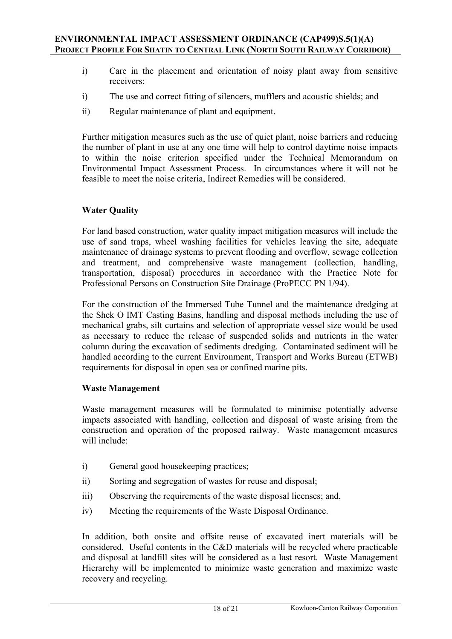- i) Care in the placement and orientation of noisy plant away from sensitive receivers;
- i) The use and correct fitting of silencers, mufflers and acoustic shields; and
- ii) Regular maintenance of plant and equipment.

Further mitigation measures such as the use of quiet plant, noise barriers and reducing the number of plant in use at any one time will help to control daytime noise impacts to within the noise criterion specified under the Technical Memorandum on Environmental Impact Assessment Process. In circumstances where it will not be feasible to meet the noise criteria, Indirect Remedies will be considered.

### **Water Quality**

 For land based construction, water quality impact mitigation measures will include the use of sand traps, wheel washing facilities for vehicles leaving the site, adequate maintenance of drainage systems to prevent flooding and overflow, sewage collection and treatment, and comprehensive waste management (collection, handling, transportation, disposal) procedures in accordance with the Practice Note for Professional Persons on Construction Site Drainage (ProPECC PN 1/94).

 For the construction of the Immersed Tube Tunnel and the maintenance dredging at the Shek O IMT Casting Basins, handling and disposal methods including the use of mechanical grabs, silt curtains and selection of appropriate vessel size would be used as necessary to reduce the release of suspended solids and nutrients in the water column during the excavation of sediments dredging. Contaminated sediment will be handled according to the current Environment, Transport and Works Bureau (ETWB) requirements for disposal in open sea or confined marine pits.

### **Waste Management**

 Waste management measures will be formulated to minimise potentially adverse impacts associated with handling, collection and disposal of waste arising from the construction and operation of the proposed railway. Waste management measures will include:

- i) General good housekeeping practices;
- ii) Sorting and segregation of wastes for reuse and disposal;
- iii) Observing the requirements of the waste disposal licenses; and,
- iv) Meeting the requirements of the Waste Disposal Ordinance.

In addition, both onsite and offsite reuse of excavated inert materials will be considered. Useful contents in the C&D materials will be recycled where practicable and disposal at landfill sites will be considered as a last resort. Waste Management Hierarchy will be implemented to minimize waste generation and maximize waste recovery and recycling.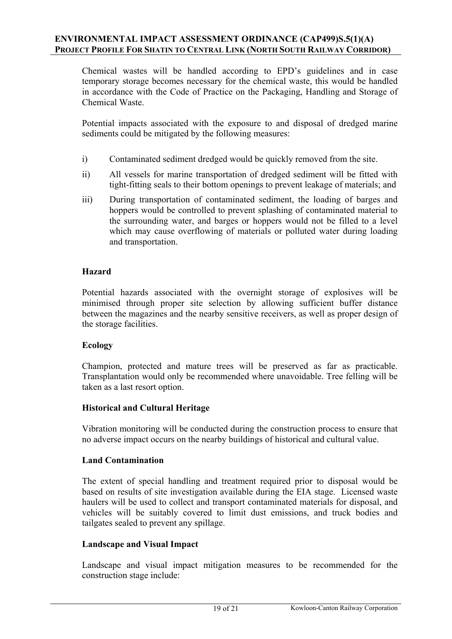Chemical wastes will be handled according to EPD's guidelines and in case temporary storage becomes necessary for the chemical waste, this would be handled in accordance with the Code of Practice on the Packaging, Handling and Storage of Chemical Waste.

Potential impacts associated with the exposure to and disposal of dredged marine sediments could be mitigated by the following measures:

- i) Contaminated sediment dredged would be quickly removed from the site.
- ii) All vessels for marine transportation of dredged sediment will be fitted with tight-fitting seals to their bottom openings to prevent leakage of materials; and
- iii) During transportation of contaminated sediment, the loading of barges and hoppers would be controlled to prevent splashing of contaminated material to the surrounding water, and barges or hoppers would not be filled to a level which may cause overflowing of materials or polluted water during loading and transportation.

#### **Hazard**

Potential hazards associated with the overnight storage of explosives will be minimised through proper site selection by allowing sufficient buffer distance between the magazines and the nearby sensitive receivers, as well as proper design of the storage facilities.

### **Ecology**

Champion, protected and mature trees will be preserved as far as practicable. Transplantation would only be recommended where unavoidable. Tree felling will be taken as a last resort option.

### **Historical and Cultural Heritage**

Vibration monitoring will be conducted during the construction process to ensure that no adverse impact occurs on the nearby buildings of historical and cultural value.

### **Land Contamination**

The extent of special handling and treatment required prior to disposal would be based on results of site investigation available during the EIA stage. Licensed waste haulers will be used to collect and transport contaminated materials for disposal, and vehicles will be suitably covered to limit dust emissions, and truck bodies and tailgates sealed to prevent any spillage.

#### **Landscape and Visual Impact**

Landscape and visual impact mitigation measures to be recommended for the construction stage include: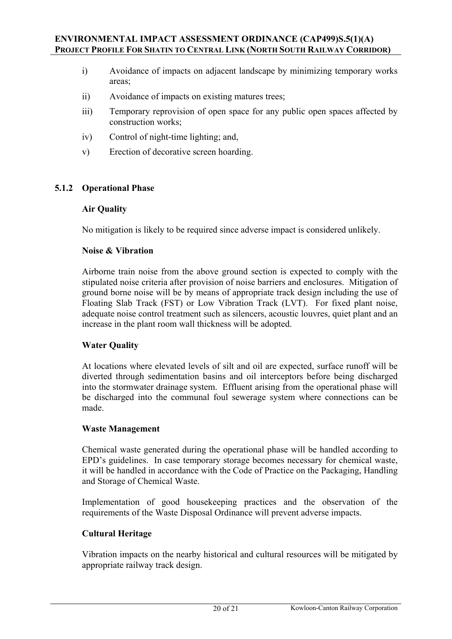- i) Avoidance of impacts on adjacent landscape by minimizing temporary works areas;
- ii) Avoidance of impacts on existing matures trees;
- iii) Temporary reprovision of open space for any public open spaces affected by construction works;
- iv) Control of night-time lighting; and,
- v) Erection of decorative screen hoarding.

### **5.1.2 Operational Phase**

#### **Air Quality**

No mitigation is likely to be required since adverse impact is considered unlikely.

#### **Noise & Vibration**

Airborne train noise from the above ground section is expected to comply with the stipulated noise criteria after provision of noise barriers and enclosures. Mitigation of ground borne noise will be by means of appropriate track design including the use of Floating Slab Track (FST) or Low Vibration Track (LVT). For fixed plant noise, adequate noise control treatment such as silencers, acoustic louvres, quiet plant and an increase in the plant room wall thickness will be adopted.

### **Water Quality**

At locations where elevated levels of silt and oil are expected, surface runoff will be diverted through sedimentation basins and oil interceptors before being discharged into the stormwater drainage system. Effluent arising from the operational phase will be discharged into the communal foul sewerage system where connections can be made.

#### **Waste Management**

Chemical waste generated during the operational phase will be handled according to EPD's guidelines. In case temporary storage becomes necessary for chemical waste, it will be handled in accordance with the Code of Practice on the Packaging, Handling and Storage of Chemical Waste.

Implementation of good housekeeping practices and the observation of the requirements of the Waste Disposal Ordinance will prevent adverse impacts.

### **Cultural Heritage**

Vibration impacts on the nearby historical and cultural resources will be mitigated by appropriate railway track design.